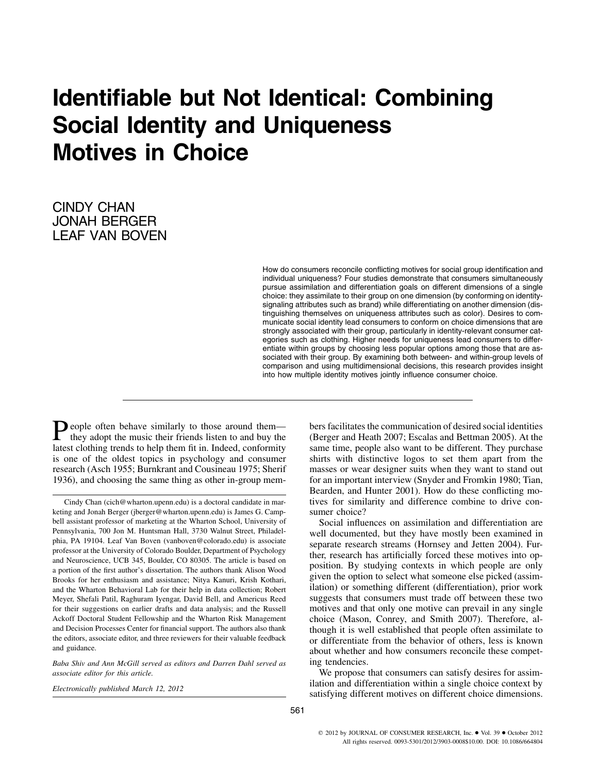# **Identifiable but Not Identical: Combining Social Identity and Uniqueness Motives in Choice**

CINDY CHAN JONAH BERGER LEAF VAN BOVEN

> How do consumers reconcile conflicting motives for social group identification and individual uniqueness? Four studies demonstrate that consumers simultaneously pursue assimilation and differentiation goals on different dimensions of a single choice: they assimilate to their group on one dimension (by conforming on identitysignaling attributes such as brand) while differentiating on another dimension (distinguishing themselves on uniqueness attributes such as color). Desires to communicate social identity lead consumers to conform on choice dimensions that are strongly associated with their group, particularly in identity-relevant consumer categories such as clothing. Higher needs for uniqueness lead consumers to differentiate within groups by choosing less popular options among those that are associated with their group. By examining both between- and within-group levels of comparison and using multidimensional decisions, this research provides insight into how multiple identity motives jointly influence consumer choice.

**P** eople often behave similarly to those around them—<br>they adopt the music their friends listen to and buy the they adopt the music their friends listen to and buy the latest clothing trends to help them fit in. Indeed, conformity is one of the oldest topics in psychology and consumer research (Asch 1955; Burnkrant and Cousineau 1975; Sherif 1936), and choosing the same thing as other in-group mem-

Cindy Chan (cich@wharton.upenn.edu) is a doctoral candidate in marketing and Jonah Berger (jberger@wharton.upenn.edu) is James G. Campbell assistant professor of marketing at the Wharton School, University of Pennsylvania, 700 Jon M. Huntsman Hall, 3730 Walnut Street, Philadelphia, PA 19104. Leaf Van Boven (vanboven@colorado.edu) is associate professor at the University of Colorado Boulder, Department of Psychology and Neuroscience, UCB 345, Boulder, CO 80305. The article is based on a portion of the first author's dissertation. The authors thank Alison Wood Brooks for her enthusiasm and assistance; Nitya Kanuri, Krish Kothari, and the Wharton Behavioral Lab for their help in data collection; Robert Meyer, Shefali Patil, Raghuram Iyengar, David Bell, and Americus Reed for their suggestions on earlier drafts and data analysis; and the Russell Ackoff Doctoral Student Fellowship and the Wharton Risk Management and Decision Processes Center for financial support. The authors also thank the editors, associate editor, and three reviewers for their valuable feedback and guidance.

*Baba Shiv and Ann McGill served as editors and Darren Dahl served as associate editor for this article.*

*Electronically published March 12, 2012*

bers facilitates the communication of desired social identities (Berger and Heath 2007; Escalas and Bettman 2005). At the same time, people also want to be different. They purchase shirts with distinctive logos to set them apart from the masses or wear designer suits when they want to stand out for an important interview (Snyder and Fromkin 1980; Tian, Bearden, and Hunter 2001). How do these conflicting motives for similarity and difference combine to drive consumer choice?

Social influences on assimilation and differentiation are well documented, but they have mostly been examined in separate research streams (Hornsey and Jetten 2004). Further, research has artificially forced these motives into opposition. By studying contexts in which people are only given the option to select what someone else picked (assimilation) or something different (differentiation), prior work suggests that consumers must trade off between these two motives and that only one motive can prevail in any single choice (Mason, Conrey, and Smith 2007). Therefore, although it is well established that people often assimilate to or differentiate from the behavior of others, less is known about whether and how consumers reconcile these competing tendencies.

We propose that consumers can satisfy desires for assimilation and differentiation within a single choice context by satisfying different motives on different choice dimensions.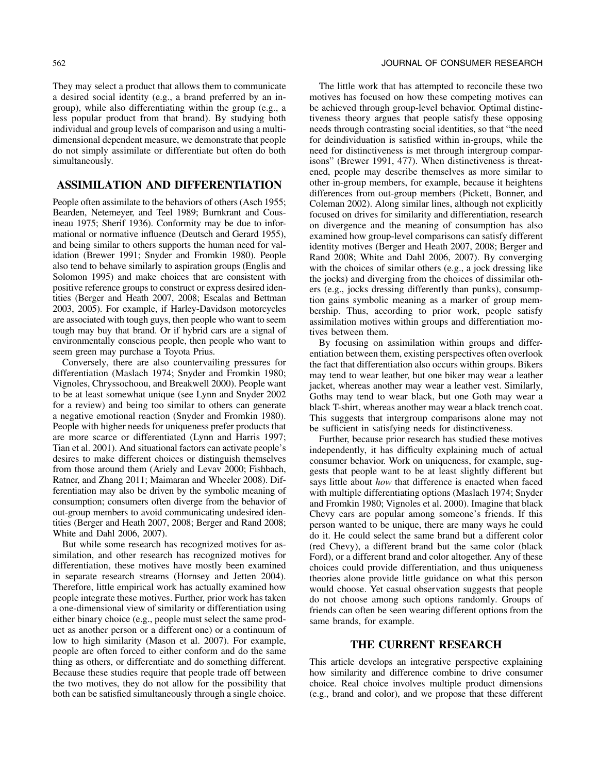They may select a product that allows them to communicate a desired social identity (e.g., a brand preferred by an ingroup), while also differentiating within the group (e.g., a less popular product from that brand). By studying both individual and group levels of comparison and using a multidimensional dependent measure, we demonstrate that people do not simply assimilate or differentiate but often do both simultaneously.

# **ASSIMILATION AND DIFFERENTIATION**

People often assimilate to the behaviors of others (Asch 1955; Bearden, Netemeyer, and Teel 1989; Burnkrant and Cousineau 1975; Sherif 1936). Conformity may be due to informational or normative influence (Deutsch and Gerard 1955), and being similar to others supports the human need for validation (Brewer 1991; Snyder and Fromkin 1980). People also tend to behave similarly to aspiration groups (Englis and Solomon 1995) and make choices that are consistent with positive reference groups to construct or express desired identities (Berger and Heath 2007, 2008; Escalas and Bettman 2003, 2005). For example, if Harley-Davidson motorcycles are associated with tough guys, then people who want to seem tough may buy that brand. Or if hybrid cars are a signal of environmentally conscious people, then people who want to seem green may purchase a Toyota Prius.

Conversely, there are also countervailing pressures for differentiation (Maslach 1974; Snyder and Fromkin 1980; Vignoles, Chryssochoou, and Breakwell 2000). People want to be at least somewhat unique (see Lynn and Snyder 2002 for a review) and being too similar to others can generate a negative emotional reaction (Snyder and Fromkin 1980). People with higher needs for uniqueness prefer products that are more scarce or differentiated (Lynn and Harris 1997; Tian et al. 2001). And situational factors can activate people's desires to make different choices or distinguish themselves from those around them (Ariely and Levav 2000; Fishbach, Ratner, and Zhang 2011; Maimaran and Wheeler 2008). Differentiation may also be driven by the symbolic meaning of consumption; consumers often diverge from the behavior of out-group members to avoid communicating undesired identities (Berger and Heath 2007, 2008; Berger and Rand 2008; White and Dahl 2006, 2007).

But while some research has recognized motives for assimilation, and other research has recognized motives for differentiation, these motives have mostly been examined in separate research streams (Hornsey and Jetten 2004). Therefore, little empirical work has actually examined how people integrate these motives. Further, prior work has taken a one-dimensional view of similarity or differentiation using either binary choice (e.g., people must select the same product as another person or a different one) or a continuum of low to high similarity (Mason et al. 2007). For example, people are often forced to either conform and do the same thing as others, or differentiate and do something different. Because these studies require that people trade off between the two motives, they do not allow for the possibility that both can be satisfied simultaneously through a single choice.

The little work that has attempted to reconcile these two motives has focused on how these competing motives can be achieved through group-level behavior. Optimal distinctiveness theory argues that people satisfy these opposing needs through contrasting social identities, so that "the need for deindividuation is satisfied within in-groups, while the need for distinctiveness is met through intergroup comparisons" (Brewer 1991, 477). When distinctiveness is threatened, people may describe themselves as more similar to other in-group members, for example, because it heightens differences from out-group members (Pickett, Bonner, and Coleman 2002). Along similar lines, although not explicitly focused on drives for similarity and differentiation, research on divergence and the meaning of consumption has also examined how group-level comparisons can satisfy different identity motives (Berger and Heath 2007, 2008; Berger and Rand 2008; White and Dahl 2006, 2007). By converging with the choices of similar others (e.g., a jock dressing like the jocks) and diverging from the choices of dissimilar others (e.g., jocks dressing differently than punks), consumption gains symbolic meaning as a marker of group membership. Thus, according to prior work, people satisfy assimilation motives within groups and differentiation motives between them.

By focusing on assimilation within groups and differentiation between them, existing perspectives often overlook the fact that differentiation also occurs within groups. Bikers may tend to wear leather, but one biker may wear a leather jacket, whereas another may wear a leather vest. Similarly, Goths may tend to wear black, but one Goth may wear a black T-shirt, whereas another may wear a black trench coat. This suggests that intergroup comparisons alone may not be sufficient in satisfying needs for distinctiveness.

Further, because prior research has studied these motives independently, it has difficulty explaining much of actual consumer behavior. Work on uniqueness, for example, suggests that people want to be at least slightly different but says little about *how* that difference is enacted when faced with multiple differentiating options (Maslach 1974; Snyder and Fromkin 1980; Vignoles et al. 2000). Imagine that black Chevy cars are popular among someone's friends. If this person wanted to be unique, there are many ways he could do it. He could select the same brand but a different color (red Chevy), a different brand but the same color (black Ford), or a different brand and color altogether. Any of these choices could provide differentiation, and thus uniqueness theories alone provide little guidance on what this person would choose. Yet casual observation suggests that people do not choose among such options randomly. Groups of friends can often be seen wearing different options from the same brands, for example.

# **THE CURRENT RESEARCH**

This article develops an integrative perspective explaining how similarity and difference combine to drive consumer choice. Real choice involves multiple product dimensions (e.g., brand and color), and we propose that these different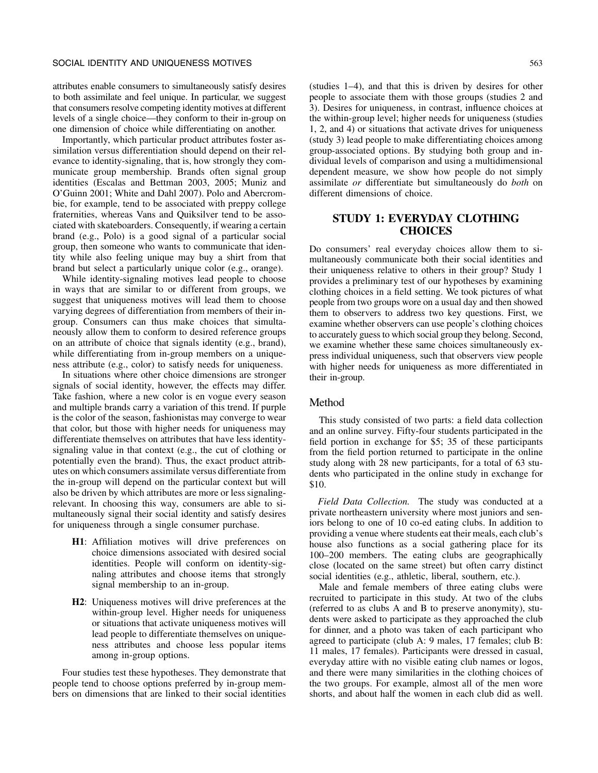attributes enable consumers to simultaneously satisfy desires to both assimilate and feel unique. In particular, we suggest that consumers resolve competing identity motives at different levels of a single choice—they conform to their in-group on one dimension of choice while differentiating on another.

Importantly, which particular product attributes foster assimilation versus differentiation should depend on their relevance to identity-signaling, that is, how strongly they communicate group membership. Brands often signal group identities (Escalas and Bettman 2003, 2005; Muniz and O'Guinn 2001; White and Dahl 2007). Polo and Abercrombie, for example, tend to be associated with preppy college fraternities, whereas Vans and Quiksilver tend to be associated with skateboarders. Consequently, if wearing a certain brand (e.g., Polo) is a good signal of a particular social group, then someone who wants to communicate that identity while also feeling unique may buy a shirt from that brand but select a particularly unique color (e.g., orange).

While identity-signaling motives lead people to choose in ways that are similar to or different from groups, we suggest that uniqueness motives will lead them to choose varying degrees of differentiation from members of their ingroup. Consumers can thus make choices that simultaneously allow them to conform to desired reference groups on an attribute of choice that signals identity (e.g., brand), while differentiating from in-group members on a uniqueness attribute (e.g., color) to satisfy needs for uniqueness.

In situations where other choice dimensions are stronger signals of social identity, however, the effects may differ. Take fashion, where a new color is en vogue every season and multiple brands carry a variation of this trend. If purple is the color of the season, fashionistas may converge to wear that color, but those with higher needs for uniqueness may differentiate themselves on attributes that have less identitysignaling value in that context (e.g., the cut of clothing or potentially even the brand). Thus, the exact product attributes on which consumers assimilate versus differentiate from the in-group will depend on the particular context but will also be driven by which attributes are more or less signalingrelevant. In choosing this way, consumers are able to simultaneously signal their social identity and satisfy desires for uniqueness through a single consumer purchase.

- **H1**: Affiliation motives will drive preferences on choice dimensions associated with desired social identities. People will conform on identity-signaling attributes and choose items that strongly signal membership to an in-group.
- **H2**: Uniqueness motives will drive preferences at the within-group level. Higher needs for uniqueness or situations that activate uniqueness motives will lead people to differentiate themselves on uniqueness attributes and choose less popular items among in-group options.

Four studies test these hypotheses. They demonstrate that people tend to choose options preferred by in-group members on dimensions that are linked to their social identities

(studies 1–4), and that this is driven by desires for other people to associate them with those groups (studies 2 and 3). Desires for uniqueness, in contrast, influence choices at the within-group level; higher needs for uniqueness (studies 1, 2, and 4) or situations that activate drives for uniqueness (study 3) lead people to make differentiating choices among group-associated options. By studying both group and individual levels of comparison and using a multidimensional dependent measure, we show how people do not simply assimilate *or* differentiate but simultaneously do *both* on different dimensions of choice.

# **STUDY 1: EVERYDAY CLOTHING CHOICES**

Do consumers' real everyday choices allow them to simultaneously communicate both their social identities and their uniqueness relative to others in their group? Study 1 provides a preliminary test of our hypotheses by examining clothing choices in a field setting. We took pictures of what people from two groups wore on a usual day and then showed them to observers to address two key questions. First, we examine whether observers can use people's clothing choices to accurately guess to which social group they belong. Second, we examine whether these same choices simultaneously express individual uniqueness, such that observers view people with higher needs for uniqueness as more differentiated in their in-group.

#### Method

This study consisted of two parts: a field data collection and an online survey. Fifty-four students participated in the field portion in exchange for \$5; 35 of these participants from the field portion returned to participate in the online study along with 28 new participants, for a total of 63 students who participated in the online study in exchange for \$10.

*Field Data Collection.* The study was conducted at a private northeastern university where most juniors and seniors belong to one of 10 co-ed eating clubs. In addition to providing a venue where students eat their meals, each club's house also functions as a social gathering place for its 100–200 members. The eating clubs are geographically close (located on the same street) but often carry distinct social identities (e.g., athletic, liberal, southern, etc.).

Male and female members of three eating clubs were recruited to participate in this study. At two of the clubs (referred to as clubs A and B to preserve anonymity), students were asked to participate as they approached the club for dinner, and a photo was taken of each participant who agreed to participate (club A: 9 males, 17 females; club B: 11 males, 17 females). Participants were dressed in casual, everyday attire with no visible eating club names or logos, and there were many similarities in the clothing choices of the two groups. For example, almost all of the men wore shorts, and about half the women in each club did as well.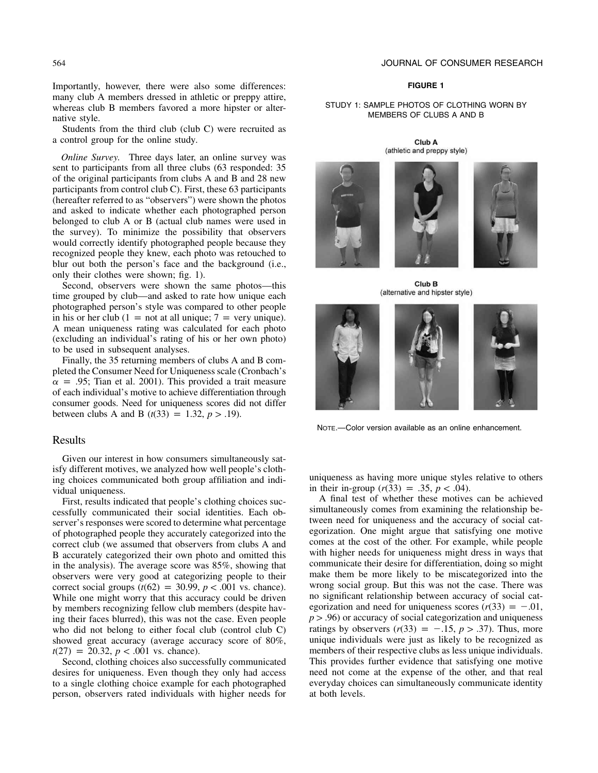#### 564 JOURNAL OF CONSUMER RESEARCH

Importantly, however, there were also some differences: many club A members dressed in athletic or preppy attire, whereas club B members favored a more hipster or alternative style.

Students from the third club (club C) were recruited as a control group for the online study.

*Online Survey.* Three days later, an online survey was sent to participants from all three clubs (63 responded: 35 of the original participants from clubs A and B and 28 new participants from control club C). First, these 63 participants (hereafter referred to as "observers") were shown the photos and asked to indicate whether each photographed person belonged to club A or B (actual club names were used in the survey). To minimize the possibility that observers would correctly identify photographed people because they recognized people they knew, each photo was retouched to blur out both the person's face and the background (i.e., only their clothes were shown; fig. 1).

Second, observers were shown the same photos—this time grouped by club—and asked to rate how unique each photographed person's style was compared to other people in his or her club (1 = not at all unique; 7 = very unique). A mean uniqueness rating was calculated for each photo (excluding an individual's rating of his or her own photo) to be used in subsequent analyses.

Finally, the 35 returning members of clubs A and B completed the Consumer Need for Uniqueness scale (Cronbach's  $\alpha$  = .95; Tian et al. 2001). This provided a trait measure of each individual's motive to achieve differentiation through consumer goods. Need for uniqueness scores did not differ between clubs A and B  $(t(33) = 1.32, p > .19)$ .

## Results

Given our interest in how consumers simultaneously satisfy different motives, we analyzed how well people's clothing choices communicated both group affiliation and individual uniqueness.

First, results indicated that people's clothing choices successfully communicated their social identities. Each observer's responses were scored to determine what percentage of photographed people they accurately categorized into the correct club (we assumed that observers from clubs A and B accurately categorized their own photo and omitted this in the analysis). The average score was 85%, showing that observers were very good at categorizing people to their correct social groups  $(t(62) = 30.99, p < .001$  vs. chance). While one might worry that this accuracy could be driven by members recognizing fellow club members (despite having their faces blurred), this was not the case. Even people who did not belong to either focal club (control club C) showed great accuracy (average accuracy score of 80%,  $t(27) = 20.32, p < .001$  vs. chance).

Second, clothing choices also successfully communicated desires for uniqueness. Even though they only had access to a single clothing choice example for each photographed person, observers rated individuals with higher needs for

#### **FIGURE 1**

#### STUDY 1: SAMPLE PHOTOS OF CLOTHING WORN BY MEMBERS OF CLUBS A AND B

Club A







Club B (alternative and hipster style)



NOTE.—Color version available as an online enhancement.

uniqueness as having more unique styles relative to others in their in-group  $(r(33) = .35, p < .04)$ .

A final test of whether these motives can be achieved simultaneously comes from examining the relationship between need for uniqueness and the accuracy of social categorization. One might argue that satisfying one motive comes at the cost of the other. For example, while people with higher needs for uniqueness might dress in ways that communicate their desire for differentiation, doing so might make them be more likely to be miscategorized into the wrong social group. But this was not the case. There was no significant relationship between accuracy of social categorization and need for uniqueness scores  $(r(33) = -.01,$  $p > .96$ ) or accuracy of social categorization and uniqueness ratings by observers  $(r(33) = -.15, p > .37)$ . Thus, more unique individuals were just as likely to be recognized as members of their respective clubs as less unique individuals. This provides further evidence that satisfying one motive need not come at the expense of the other, and that real everyday choices can simultaneously communicate identity at both levels.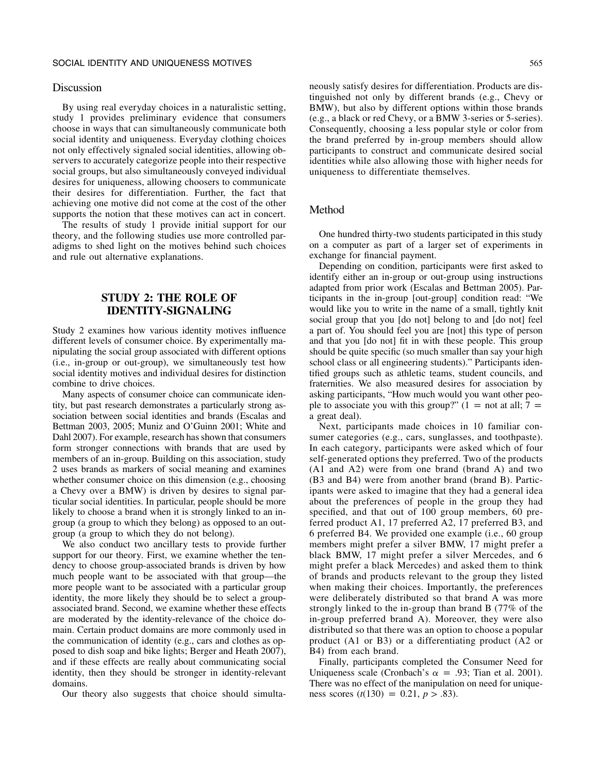#### **Discussion**

By using real everyday choices in a naturalistic setting, study 1 provides preliminary evidence that consumers choose in ways that can simultaneously communicate both social identity and uniqueness. Everyday clothing choices not only effectively signaled social identities, allowing observers to accurately categorize people into their respective social groups, but also simultaneously conveyed individual desires for uniqueness, allowing choosers to communicate their desires for differentiation. Further, the fact that achieving one motive did not come at the cost of the other supports the notion that these motives can act in concert.

The results of study 1 provide initial support for our theory, and the following studies use more controlled paradigms to shed light on the motives behind such choices and rule out alternative explanations.

# **STUDY 2: THE ROLE OF IDENTITY-SIGNALING**

Study 2 examines how various identity motives influence different levels of consumer choice. By experimentally manipulating the social group associated with different options (i.e., in-group or out-group), we simultaneously test how social identity motives and individual desires for distinction combine to drive choices.

Many aspects of consumer choice can communicate identity, but past research demonstrates a particularly strong association between social identities and brands (Escalas and Bettman 2003, 2005; Muniz and O'Guinn 2001; White and Dahl 2007). For example, research has shown that consumers form stronger connections with brands that are used by members of an in-group. Building on this association, study 2 uses brands as markers of social meaning and examines whether consumer choice on this dimension (e.g., choosing a Chevy over a BMW) is driven by desires to signal particular social identities. In particular, people should be more likely to choose a brand when it is strongly linked to an ingroup (a group to which they belong) as opposed to an outgroup (a group to which they do not belong).

We also conduct two ancillary tests to provide further support for our theory. First, we examine whether the tendency to choose group-associated brands is driven by how much people want to be associated with that group—the more people want to be associated with a particular group identity, the more likely they should be to select a groupassociated brand. Second, we examine whether these effects are moderated by the identity-relevance of the choice domain. Certain product domains are more commonly used in the communication of identity (e.g., cars and clothes as opposed to dish soap and bike lights; Berger and Heath 2007), and if these effects are really about communicating social identity, then they should be stronger in identity-relevant domains.

Our theory also suggests that choice should simulta-

neously satisfy desires for differentiation. Products are distinguished not only by different brands (e.g., Chevy or BMW), but also by different options within those brands (e.g., a black or red Chevy, or a BMW 3-series or 5-series). Consequently, choosing a less popular style or color from the brand preferred by in-group members should allow participants to construct and communicate desired social identities while also allowing those with higher needs for uniqueness to differentiate themselves.

## Method

One hundred thirty-two students participated in this study on a computer as part of a larger set of experiments in exchange for financial payment.

Depending on condition, participants were first asked to identify either an in-group or out-group using instructions adapted from prior work (Escalas and Bettman 2005). Participants in the in-group [out-group] condition read: "We would like you to write in the name of a small, tightly knit social group that you [do not] belong to and [do not] feel a part of. You should feel you are [not] this type of person and that you [do not] fit in with these people. This group should be quite specific (so much smaller than say your high school class or all engineering students)." Participants identified groups such as athletic teams, student councils, and fraternities. We also measured desires for association by asking participants, "How much would you want other people to associate you with this group?"  $(1 =$  not at all;  $7 =$ a great deal).

Next, participants made choices in 10 familiar consumer categories (e.g., cars, sunglasses, and toothpaste). In each category, participants were asked which of four self-generated options they preferred. Two of the products (A1 and A2) were from one brand (brand A) and two (B3 and B4) were from another brand (brand B). Participants were asked to imagine that they had a general idea about the preferences of people in the group they had specified, and that out of 100 group members, 60 preferred product A1, 17 preferred A2, 17 preferred B3, and 6 preferred B4. We provided one example (i.e., 60 group members might prefer a silver BMW, 17 might prefer a black BMW, 17 might prefer a silver Mercedes, and 6 might prefer a black Mercedes) and asked them to think of brands and products relevant to the group they listed when making their choices. Importantly, the preferences were deliberately distributed so that brand A was more strongly linked to the in-group than brand B (77% of the in-group preferred brand A). Moreover, they were also distributed so that there was an option to choose a popular product (A1 or B3) or a differentiating product (A2 or B4) from each brand.

Finally, participants completed the Consumer Need for Uniqueness scale (Cronbach's  $\alpha = .93$ ; Tian et al. 2001). There was no effect of the manipulation on need for uniqueness scores  $(t(130) = 0.21, p > .83)$ .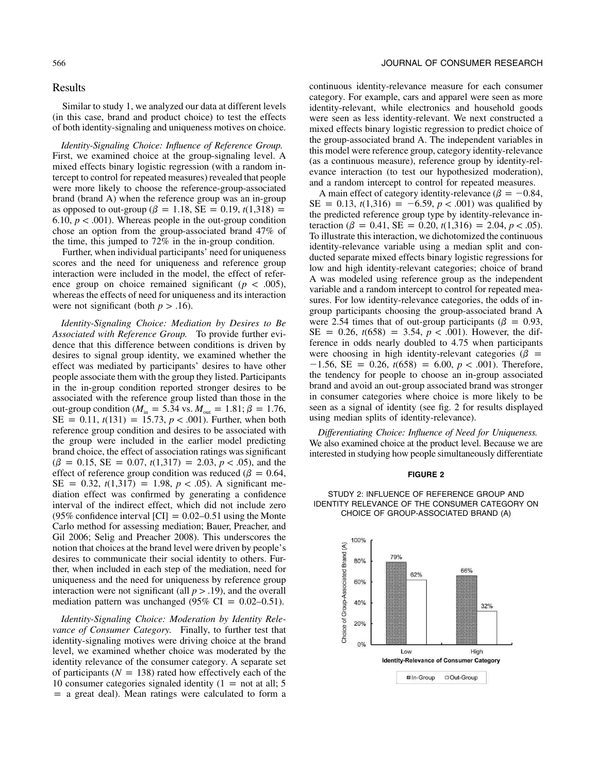## Results

Similar to study 1, we analyzed our data at different levels (in this case, brand and product choice) to test the effects of both identity-signaling and uniqueness motives on choice.

*Identity-Signaling Choice: Influence of Reference Group.* First, we examined choice at the group-signaling level. A mixed effects binary logistic regression (with a random intercept to control for repeated measures) revealed that people were more likely to choose the reference-group-associated brand (brand A) when the reference group was an in-group as opposed to out-group ( $\beta = 1.18$ , SE = 0.19, *t*(1,318) = 6.10,  $p < .001$ ). Whereas people in the out-group condition chose an option from the group-associated brand 47% of the time, this jumped to 72% in the in-group condition.

Further, when individual participants' need for uniqueness scores and the need for uniqueness and reference group interaction were included in the model, the effect of reference group on choice remained significant ( $p < .005$ ), whereas the effects of need for uniqueness and its interaction were not significant (both  $p > .16$ ).

*Identity-Signaling Choice: Mediation by Desires to Be Associated with Reference Group.* To provide further evidence that this difference between conditions is driven by desires to signal group identity, we examined whether the effect was mediated by participants' desires to have other people associate them with the group they listed. Participants in the in-group condition reported stronger desires to be associated with the reference group listed than those in the out-group condition ( $M_{\text{in}} = 5.34$  vs.  $M_{\text{out}} = 1.81$ ;  $\beta = 1.76$ ,  $SE = 0.11$ ,  $t(131) = 15.73$ ,  $p < .001$ ). Further, when both reference group condition and desires to be associated with the group were included in the earlier model predicting brand choice, the effect of association ratings was significant  $(\beta = 0.15, SE = 0.07, t(1,317) = 2.03, p < .05)$ , and the effect of reference group condition was reduced ( $\beta = 0.64$ ,  $SE = 0.32$ ,  $t(1,317) = 1.98$ ,  $p < .05$ ). A significant mediation effect was confirmed by generating a confidence interval of the indirect effect, which did not include zero (95% confidence interval [CI] =  $0.02-0.51$  using the Monte Carlo method for assessing mediation; Bauer, Preacher, and Gil 2006; Selig and Preacher 2008). This underscores the notion that choices at the brand level were driven by people's desires to communicate their social identity to others. Further, when included in each step of the mediation, need for uniqueness and the need for uniqueness by reference group interaction were not significant (all  $p > .19$ ), and the overall mediation pattern was unchanged (95% CI =  $0.02-0.51$ ).

*Identity-Signaling Choice: Moderation by Identity Relevance of Consumer Category.* Finally, to further test that identity-signaling motives were driving choice at the brand level, we examined whether choice was moderated by the identity relevance of the consumer category. A separate set of participants ( $N = 138$ ) rated how effectively each of the 10 consumer categories signaled identity (1 = not at all; 5  $=$  a great deal). Mean ratings were calculated to form a continuous identity-relevance measure for each consumer category. For example, cars and apparel were seen as more identity-relevant, while electronics and household goods were seen as less identity-relevant. We next constructed a mixed effects binary logistic regression to predict choice of the group-associated brand A. The independent variables in this model were reference group, category identity-relevance (as a continuous measure), reference group by identity-relevance interaction (to test our hypothesized moderation), and a random intercept to control for repeated measures.

A main effect of category identity-relevance ( $\beta = -0.84$ ,  $SE = 0.13$ ,  $t(1,316) = -6.59$ ,  $p < .001$ ) was qualified by the predicted reference group type by identity-relevance interaction ( $\beta = 0.41$ , SE = 0.20, *t*(1,316) = 2.04, *p* < .05). To illustrate this interaction, we dichotomized the continuous identity-relevance variable using a median split and conducted separate mixed effects binary logistic regressions for low and high identity-relevant categories; choice of brand A was modeled using reference group as the independent variable and a random intercept to control for repeated measures. For low identity-relevance categories, the odds of ingroup participants choosing the group-associated brand A were 2.54 times that of out-group participants ( $\beta = 0.93$ ,  $SE = 0.26$ ,  $t(658) = 3.54$ ,  $p < .001$ ). However, the difference in odds nearly doubled to 4.75 when participants were choosing in high identity-relevant categories ( $\beta$  =  $-1.56$ , SE = 0.26,  $t(658)$  = 6.00, *p* < .001). Therefore, the tendency for people to choose an in-group associated brand and avoid an out-group associated brand was stronger in consumer categories where choice is more likely to be seen as a signal of identity (see fig. 2 for results displayed using median splits of identity-relevance).

*Differentiating Choice: Influence of Need for Uniqueness.* We also examined choice at the product level. Because we are interested in studying how people simultaneously differentiate

#### **FIGURE 2**

#### STUDY 2: INFLUENCE OF REFERENCE GROUP AND IDENTITY RELEVANCE OF THE CONSUMER CATEGORY ON CHOICE OF GROUP-ASSOCIATED BRAND (A)

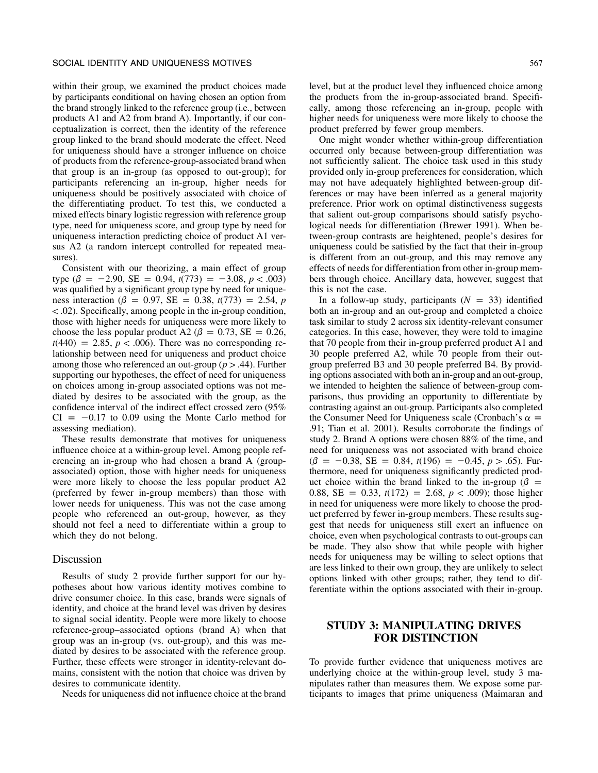within their group, we examined the product choices made by participants conditional on having chosen an option from the brand strongly linked to the reference group (i.e., between products A1 and A2 from brand A). Importantly, if our conceptualization is correct, then the identity of the reference group linked to the brand should moderate the effect. Need for uniqueness should have a stronger influence on choice of products from the reference-group-associated brand when that group is an in-group (as opposed to out-group); for participants referencing an in-group, higher needs for uniqueness should be positively associated with choice of the differentiating product. To test this, we conducted a mixed effects binary logistic regression with reference group type, need for uniqueness score, and group type by need for uniqueness interaction predicting choice of product A1 versus A2 (a random intercept controlled for repeated measures).

Consistent with our theorizing, a main effect of group type ( $\beta$  = -2.90, SE = 0.94, *t*(773) = -3.08, *p* < .003) was qualified by a significant group type by need for uniqueness interaction ( $\beta$  = 0.97, SE = 0.38, *t*(773) = 2.54, *p* ! .02). Specifically, among people in the in-group condition, those with higher needs for uniqueness were more likely to choose the less popular product A2 ( $\beta = 0.73$ , SE = 0.26,  $t(440) = 2.85$ ,  $p < .006$ ). There was no corresponding relationship between need for uniqueness and product choice among those who referenced an out-group  $(p > .44)$ . Further supporting our hypotheses, the effect of need for uniqueness on choices among in-group associated options was not mediated by desires to be associated with the group, as the confidence interval of the indirect effect crossed zero (95%  $CI = -0.17$  to 0.09 using the Monte Carlo method for assessing mediation).

These results demonstrate that motives for uniqueness influence choice at a within-group level. Among people referencing an in-group who had chosen a brand A (groupassociated) option, those with higher needs for uniqueness were more likely to choose the less popular product A2 (preferred by fewer in-group members) than those with lower needs for uniqueness. This was not the case among people who referenced an out-group, however, as they should not feel a need to differentiate within a group to which they do not belong.

#### Discussion

Results of study 2 provide further support for our hypotheses about how various identity motives combine to drive consumer choice. In this case, brands were signals of identity, and choice at the brand level was driven by desires to signal social identity. People were more likely to choose reference-group–associated options (brand A) when that group was an in-group (vs. out-group), and this was mediated by desires to be associated with the reference group. Further, these effects were stronger in identity-relevant domains, consistent with the notion that choice was driven by desires to communicate identity.

Needs for uniqueness did not influence choice at the brand

level, but at the product level they influenced choice among the products from the in-group-associated brand. Specifically, among those referencing an in-group, people with higher needs for uniqueness were more likely to choose the product preferred by fewer group members.

One might wonder whether within-group differentiation occurred only because between-group differentiation was not sufficiently salient. The choice task used in this study provided only in-group preferences for consideration, which may not have adequately highlighted between-group differences or may have been inferred as a general majority preference. Prior work on optimal distinctiveness suggests that salient out-group comparisons should satisfy psychological needs for differentiation (Brewer 1991). When between-group contrasts are heightened, people's desires for uniqueness could be satisfied by the fact that their in-group is different from an out-group, and this may remove any effects of needs for differentiation from other in-group members through choice. Ancillary data, however, suggest that this is not the case.

In a follow-up study, participants  $(N = 33)$  identified both an in-group and an out-group and completed a choice task similar to study 2 across six identity-relevant consumer categories. In this case, however, they were told to imagine that 70 people from their in-group preferred product A1 and 30 people preferred A2, while 70 people from their outgroup preferred B3 and 30 people preferred B4. By providing options associated with both an in-group and an out-group, we intended to heighten the salience of between-group comparisons, thus providing an opportunity to differentiate by contrasting against an out-group. Participants also completed the Consumer Need for Uniqueness scale (Cronbach's  $\alpha$  = .91; Tian et al. 2001). Results corroborate the findings of study 2. Brand A options were chosen 88% of the time, and need for uniqueness was not associated with brand choice  $(\beta = -0.38, SE = 0.84, t(196) = -0.45, p > .65)$ . Furthermore, need for uniqueness significantly predicted product choice within the brand linked to the in-group ( $\beta$  = 0.88, SE = 0.33,  $t(172) = 2.68$ ,  $p < .009$ ); those higher in need for uniqueness were more likely to choose the product preferred by fewer in-group members. These results suggest that needs for uniqueness still exert an influence on choice, even when psychological contrasts to out-groups can be made. They also show that while people with higher needs for uniqueness may be willing to select options that are less linked to their own group, they are unlikely to select options linked with other groups; rather, they tend to differentiate within the options associated with their in-group.

# **STUDY 3: MANIPULATING DRIVES FOR DISTINCTION**

To provide further evidence that uniqueness motives are underlying choice at the within-group level, study 3 manipulates rather than measures them. We expose some participants to images that prime uniqueness (Maimaran and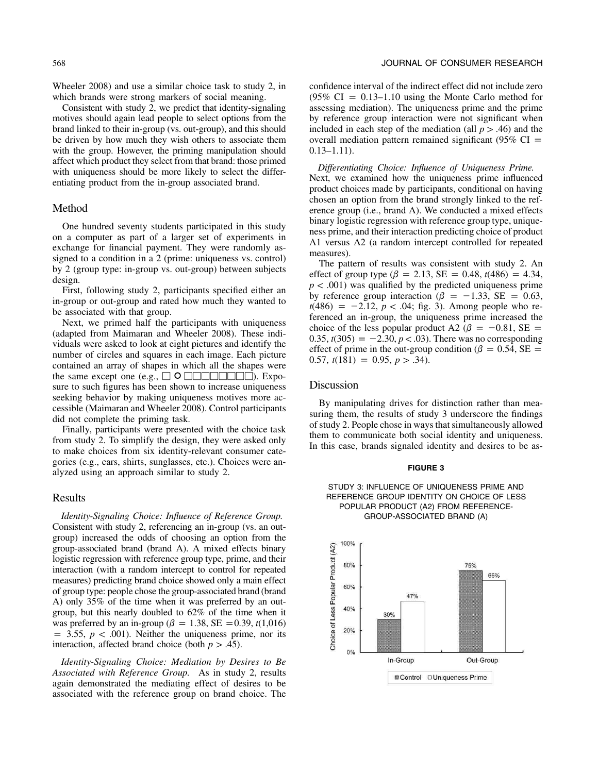Wheeler 2008) and use a similar choice task to study 2, in which brands were strong markers of social meaning.

Consistent with study 2, we predict that identity-signaling motives should again lead people to select options from the brand linked to their in-group (vs. out-group), and this should be driven by how much they wish others to associate them with the group. However, the priming manipulation should affect which product they select from that brand: those primed with uniqueness should be more likely to select the differentiating product from the in-group associated brand.

## Method

One hundred seventy students participated in this study on a computer as part of a larger set of experiments in exchange for financial payment. They were randomly assigned to a condition in a 2 (prime: uniqueness vs. control) by 2 (group type: in-group vs. out-group) between subjects design.

First, following study 2, participants specified either an in-group or out-group and rated how much they wanted to be associated with that group.

Next, we primed half the participants with uniqueness (adapted from Maimaran and Wheeler 2008). These individuals were asked to look at eight pictures and identify the number of circles and squares in each image. Each picture contained an array of shapes in which all the shapes were the same except one (e.g.,  $\Box$   $\Box$   $\Box$   $\Box$   $\Box$   $\Box$ ). Exposure to such figures has been shown to increase uniqueness seeking behavior by making uniqueness motives more accessible (Maimaran and Wheeler 2008). Control participants did not complete the priming task.

Finally, participants were presented with the choice task from study 2. To simplify the design, they were asked only to make choices from six identity-relevant consumer categories (e.g., cars, shirts, sunglasses, etc.). Choices were analyzed using an approach similar to study 2.

## Results

*Identity-Signaling Choice: Influence of Reference Group.* Consistent with study 2, referencing an in-group (vs. an outgroup) increased the odds of choosing an option from the group-associated brand (brand A). A mixed effects binary logistic regression with reference group type, prime, and their interaction (with a random intercept to control for repeated measures) predicting brand choice showed only a main effect of group type: people chose the group-associated brand (brand A) only 35% of the time when it was preferred by an outgroup, but this nearly doubled to 62% of the time when it was preferred by an in-group ( $\beta = 1.38$ , SE = 0.39, *t*(1,016)  $= 3.55, p < .001$ ). Neither the uniqueness prime, nor its interaction, affected brand choice (both  $p > .45$ ).

*Identity-Signaling Choice: Mediation by Desires to Be Associated with Reference Group.* As in study 2, results again demonstrated the mediating effect of desires to be associated with the reference group on brand choice. The confidence interval of the indirect effect did not include zero  $(95\% \text{ CI} = 0.13-1.10 \text{ using the Monte Carlo method for})$ assessing mediation). The uniqueness prime and the prime by reference group interaction were not significant when included in each step of the mediation (all  $p > .46$ ) and the overall mediation pattern remained significant (95% CI = 0.13–1.11).

*Differentiating Choice: Influence of Uniqueness Prime.* Next, we examined how the uniqueness prime influenced product choices made by participants, conditional on having chosen an option from the brand strongly linked to the reference group (i.e., brand A). We conducted a mixed effects binary logistic regression with reference group type, uniqueness prime, and their interaction predicting choice of product A1 versus A2 (a random intercept controlled for repeated measures).

The pattern of results was consistent with study 2. An effect of group type ( $\beta$  = 2.13, SE = 0.48, *t*(486) = 4.34,  $p < .001$ ) was qualified by the predicted uniqueness prime by reference group interaction  $(\beta = -1.33, SE = 0.63,$  $t(486) = -2.12, p < .04$ ; fig. 3). Among people who referenced an in-group, the uniqueness prime increased the choice of the less popular product A2  $(\beta = -0.81, SE =$ 0.35,  $t(305) = -2.30, p < .03$ ). There was no corresponding effect of prime in the out-group condition ( $\beta = 0.54$ , SE = 0.57,  $t(181) = 0.95$ ,  $p > .34$ ).

## Discussion

By manipulating drives for distinction rather than measuring them, the results of study 3 underscore the findings of study 2. People chose in ways that simultaneously allowed them to communicate both social identity and uniqueness. In this case, brands signaled identity and desires to be as-

#### **FIGURE 3**

#### STUDY 3: INFLUENCE OF UNIQUENESS PRIME AND REFERENCE GROUP IDENTITY ON CHOICE OF LESS POPULAR PRODUCT (A2) FROM REFERENCE-GROUP-ASSOCIATED BRAND (A)

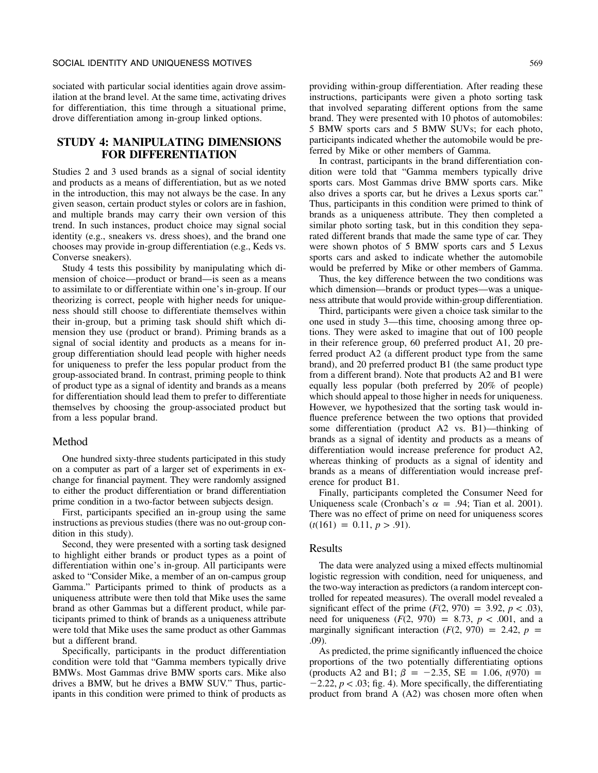sociated with particular social identities again drove assimilation at the brand level. At the same time, activating drives for differentiation, this time through a situational prime, drove differentiation among in-group linked options.

# **STUDY 4: MANIPULATING DIMENSIONS FOR DIFFERENTIATION**

Studies 2 and 3 used brands as a signal of social identity and products as a means of differentiation, but as we noted in the introduction, this may not always be the case. In any given season, certain product styles or colors are in fashion, and multiple brands may carry their own version of this trend. In such instances, product choice may signal social identity (e.g., sneakers vs. dress shoes), and the brand one chooses may provide in-group differentiation (e.g., Keds vs. Converse sneakers).

Study 4 tests this possibility by manipulating which dimension of choice—product or brand—is seen as a means to assimilate to or differentiate within one's in-group. If our theorizing is correct, people with higher needs for uniqueness should still choose to differentiate themselves within their in-group, but a priming task should shift which dimension they use (product or brand). Priming brands as a signal of social identity and products as a means for ingroup differentiation should lead people with higher needs for uniqueness to prefer the less popular product from the group-associated brand. In contrast, priming people to think of product type as a signal of identity and brands as a means for differentiation should lead them to prefer to differentiate themselves by choosing the group-associated product but from a less popular brand.

## Method

One hundred sixty-three students participated in this study on a computer as part of a larger set of experiments in exchange for financial payment. They were randomly assigned to either the product differentiation or brand differentiation prime condition in a two-factor between subjects design.

First, participants specified an in-group using the same instructions as previous studies (there was no out-group condition in this study).

Second, they were presented with a sorting task designed to highlight either brands or product types as a point of differentiation within one's in-group. All participants were asked to "Consider Mike, a member of an on-campus group Gamma." Participants primed to think of products as a uniqueness attribute were then told that Mike uses the same brand as other Gammas but a different product, while participants primed to think of brands as a uniqueness attribute were told that Mike uses the same product as other Gammas but a different brand.

Specifically, participants in the product differentiation condition were told that "Gamma members typically drive BMWs. Most Gammas drive BMW sports cars. Mike also drives a BMW, but he drives a BMW SUV." Thus, participants in this condition were primed to think of products as providing within-group differentiation. After reading these instructions, participants were given a photo sorting task that involved separating different options from the same brand. They were presented with 10 photos of automobiles: 5 BMW sports cars and 5 BMW SUVs; for each photo, participants indicated whether the automobile would be preferred by Mike or other members of Gamma.

In contrast, participants in the brand differentiation condition were told that "Gamma members typically drive sports cars. Most Gammas drive BMW sports cars. Mike also drives a sports car, but he drives a Lexus sports car." Thus, participants in this condition were primed to think of brands as a uniqueness attribute. They then completed a similar photo sorting task, but in this condition they separated different brands that made the same type of car. They were shown photos of 5 BMW sports cars and 5 Lexus sports cars and asked to indicate whether the automobile would be preferred by Mike or other members of Gamma.

Thus, the key difference between the two conditions was which dimension—brands or product types—was a uniqueness attribute that would provide within-group differentiation.

Third, participants were given a choice task similar to the one used in study 3—this time, choosing among three options. They were asked to imagine that out of 100 people in their reference group, 60 preferred product A1, 20 preferred product A2 (a different product type from the same brand), and 20 preferred product B1 (the same product type from a different brand). Note that products A2 and B1 were equally less popular (both preferred by 20% of people) which should appeal to those higher in needs for uniqueness. However, we hypothesized that the sorting task would influence preference between the two options that provided some differentiation (product A2 vs. B1)—thinking of brands as a signal of identity and products as a means of differentiation would increase preference for product A2, whereas thinking of products as a signal of identity and brands as a means of differentiation would increase preference for product B1.

Finally, participants completed the Consumer Need for Uniqueness scale (Cronbach's  $\alpha = .94$ ; Tian et al. 2001). There was no effect of prime on need for uniqueness scores  $(t(161) = 0.11, p > .91).$ 

#### Results

The data were analyzed using a mixed effects multinomial logistic regression with condition, need for uniqueness, and the two-way interaction as predictors (a random intercept controlled for repeated measures). The overall model revealed a significant effect of the prime  $(F(2, 970) = 3.92, p < .03)$ , need for uniqueness  $(F(2, 970) = 8.73, p < .001,$  and a marginally significant interaction  $(F(2, 970) = 2.42, p =$ .09).

As predicted, the prime significantly influenced the choice proportions of the two potentially differentiating options (products A2 and B1;  $\beta = -2.35$ , SE = 1.06,  $t(970)$  =  $-2.22$ ,  $p < .03$ ; fig. 4). More specifically, the differentiating product from brand A (A2) was chosen more often when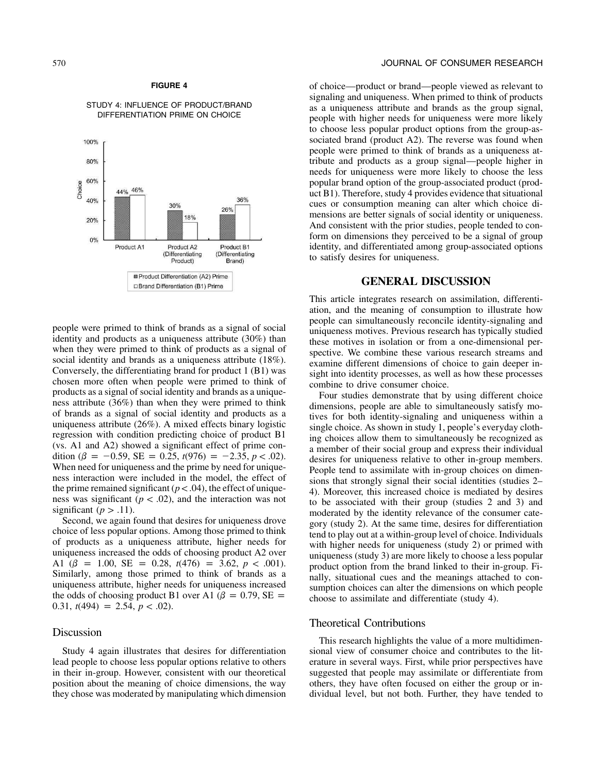#### **FIGURE 4**





people were primed to think of brands as a signal of social identity and products as a uniqueness attribute (30%) than when they were primed to think of products as a signal of social identity and brands as a uniqueness attribute (18%). Conversely, the differentiating brand for product 1 (B1) was chosen more often when people were primed to think of products as a signal of social identity and brands as a uniqueness attribute (36%) than when they were primed to think of brands as a signal of social identity and products as a uniqueness attribute (26%). A mixed effects binary logistic regression with condition predicting choice of product B1 (vs. A1 and A2) showed a significant effect of prime condition ( $\beta = -0.59$ , SE = 0.25, *t*(976) = -2.35, *p* < .02). When need for uniqueness and the prime by need for uniqueness interaction were included in the model, the effect of the prime remained significant  $(p < .04)$ , the effect of uniqueness was significant ( $p < .02$ ), and the interaction was not significant ( $p > .11$ ).

Second, we again found that desires for uniqueness drove choice of less popular options. Among those primed to think of products as a uniqueness attribute, higher needs for uniqueness increased the odds of choosing product A2 over A1 ( $\beta$  = 1.00, SE = 0.28, *t*(476) = 3.62, *p* < .001). Similarly, among those primed to think of brands as a uniqueness attribute, higher needs for uniqueness increased the odds of choosing product B1 over A1 ( $\beta = 0.79$ , SE = 0.31,  $t(494) = 2.54$ ,  $p < .02$ ).

#### Discussion

Study 4 again illustrates that desires for differentiation lead people to choose less popular options relative to others in their in-group. However, consistent with our theoretical position about the meaning of choice dimensions, the way they chose was moderated by manipulating which dimension of choice—product or brand—people viewed as relevant to signaling and uniqueness. When primed to think of products as a uniqueness attribute and brands as the group signal, people with higher needs for uniqueness were more likely to choose less popular product options from the group-associated brand (product A2). The reverse was found when people were primed to think of brands as a uniqueness attribute and products as a group signal—people higher in needs for uniqueness were more likely to choose the less popular brand option of the group-associated product (product B1). Therefore, study 4 provides evidence that situational cues or consumption meaning can alter which choice dimensions are better signals of social identity or uniqueness. And consistent with the prior studies, people tended to conform on dimensions they perceived to be a signal of group identity, and differentiated among group-associated options to satisfy desires for uniqueness.

## **GENERAL DISCUSSION**

This article integrates research on assimilation, differentiation, and the meaning of consumption to illustrate how people can simultaneously reconcile identity-signaling and uniqueness motives. Previous research has typically studied these motives in isolation or from a one-dimensional perspective. We combine these various research streams and examine different dimensions of choice to gain deeper insight into identity processes, as well as how these processes combine to drive consumer choice.

Four studies demonstrate that by using different choice dimensions, people are able to simultaneously satisfy motives for both identity-signaling and uniqueness within a single choice. As shown in study 1, people's everyday clothing choices allow them to simultaneously be recognized as a member of their social group and express their individual desires for uniqueness relative to other in-group members. People tend to assimilate with in-group choices on dimensions that strongly signal their social identities (studies 2– 4). Moreover, this increased choice is mediated by desires to be associated with their group (studies 2 and 3) and moderated by the identity relevance of the consumer category (study 2). At the same time, desires for differentiation tend to play out at a within-group level of choice. Individuals with higher needs for uniqueness (study 2) or primed with uniqueness (study 3) are more likely to choose a less popular product option from the brand linked to their in-group. Finally, situational cues and the meanings attached to consumption choices can alter the dimensions on which people choose to assimilate and differentiate (study 4).

# Theoretical Contributions

This research highlights the value of a more multidimensional view of consumer choice and contributes to the literature in several ways. First, while prior perspectives have suggested that people may assimilate or differentiate from others, they have often focused on either the group or individual level, but not both. Further, they have tended to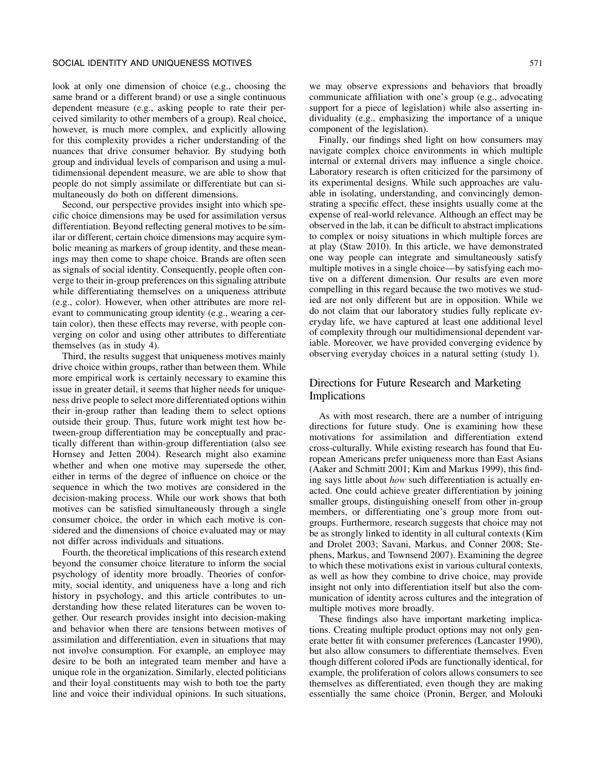look at only one dimension of choice (e.g., choosing the same brand or a different brand) or use a single continuous dependent measure (e.g., asking people to rate their perceived similarity to other members of a group). Real choice, however, is much more complex, and explicitly allowing for this complexity provides a richer understanding of the nuances that drive consumer behavior. By studying both group and individual levels of comparison and using a multidimensional dependent measure, we are able to show that people do not simply assimilate or differentiate but can simultaneously do both on different dimensions.

Second, our perspective provides insight into which specific choice dimensions may be used for assimilation versus differentiation. Beyond reflecting general motives to be similar or different, certain choice dimensions may acquire symbolic meaning as markers of group identity, and these meanings may then come to shape choice. Brands are often seen as signals of social identity. Consequently, people often converge to their in-group preferences on this signaling attribute while differentiating themselves on a uniqueness attribute (e.g., color). However, when other attributes are more relevant to communicating group identity (e.g., wearing a certain color), then these effects may reverse, with people converging on color and using other attributes to differentiate themselves (as in study 4).

Third, the results suggest that uniqueness motives mainly drive choice within groups, rather than between them. While more empirical work is certainly necessary to examine this issue in greater detail, it seems that higher needs for uniqueness drive people to select more differentiated options within their in-group rather than leading them to select options outside their group. Thus, future work might test how between-group differentiation may be conceptually and practically different than within-group differentiation (also see Hornsey and Jetten 2004). Research might also examine whether and when one motive may supersede the other, either in terms of the degree of influence on choice or the sequence in which the two motives are considered in the decision-making process. While our work shows that both motives can be satisfied simultaneously through a single consumer choice, the order in which each motive is considered and the dimensions of choice evaluated may or may not differ across individuals and situations.

Fourth, the theoretical implications of this research extend beyond the consumer choice literature to inform the social psychology of identity more broadly. Theories of conformity, social identity, and uniqueness have a long and rich history in psychology, and this article contributes to understanding how these related literatures can be woven together. Our research provides insight into decision-making and behavior when there are tensions between motives of assimilation and differentiation, even in situations that may not involve consumption. For example, an employee may desire to be both an integrated team member and have a unique role in the organization. Similarly, elected politicians and their loyal constituents may wish to both toe the party line and voice their individual opinions. In such situations, we may observe expressions and behaviors that broadly communicate affiliation with one's group (e.g., advocating support for a piece of legislation) while also asserting individuality (e.g., emphasizing the importance of a unique component of the legislation).

Finally, our findings shed light on how consumers may navigate complex choice environments in which multiple internal or external drivers may influence a single choice. Laboratory research is often criticized for the parsimony of its experimental designs. While such approaches are valuable in isolating, understanding, and convincingly demonstrating a specific effect, these insights usually come at the expense of real-world relevance. Although an effect may be observed in the lab, it can be difficult to abstract implications to complex or noisy situations in which multiple forces are at play (Staw 2010). In this article, we have demonstrated one way people can integrate and simultaneously satisfy multiple motives in a single choice—by satisfying each motive on a different dimension. Our results are even more compelling in this regard because the two motives we studied are not only different but are in opposition. While we do not claim that our laboratory studies fully replicate everyday life, we have captured at least one additional level of complexity through our multidimensional dependent variable. Moreover, we have provided converging evidence by observing everyday choices in a natural setting (study 1).

# Directions for Future Research and Marketing Implications

As with most research, there are a number of intriguing directions for future study. One is examining how these motivations for assimilation and differentiation extend cross-culturally. While existing research has found that European Americans prefer uniqueness more than East Asians (Aaker and Schmitt 2001; Kim and Markus 1999), this finding says little about *how* such differentiation is actually enacted. One could achieve greater differentiation by joining smaller groups, distinguishing oneself from other in-group members, or differentiating one's group more from outgroups. Furthermore, research suggests that choice may not be as strongly linked to identity in all cultural contexts (Kim and Drolet 2003; Savani, Markus, and Conner 2008; Stephens, Markus, and Townsend 2007). Examining the degree to which these motivations exist in various cultural contexts, as well as how they combine to drive choice, may provide insight not only into differentiation itself but also the communication of identity across cultures and the integration of multiple motives more broadly.

These findings also have important marketing implications. Creating multiple product options may not only generate better fit with consumer preferences (Lancaster 1990), but also allow consumers to differentiate themselves. Even though different colored iPods are functionally identical, for example, the proliferation of colors allows consumers to see themselves as differentiated, even though they are making essentially the same choice (Pronin, Berger, and Molouki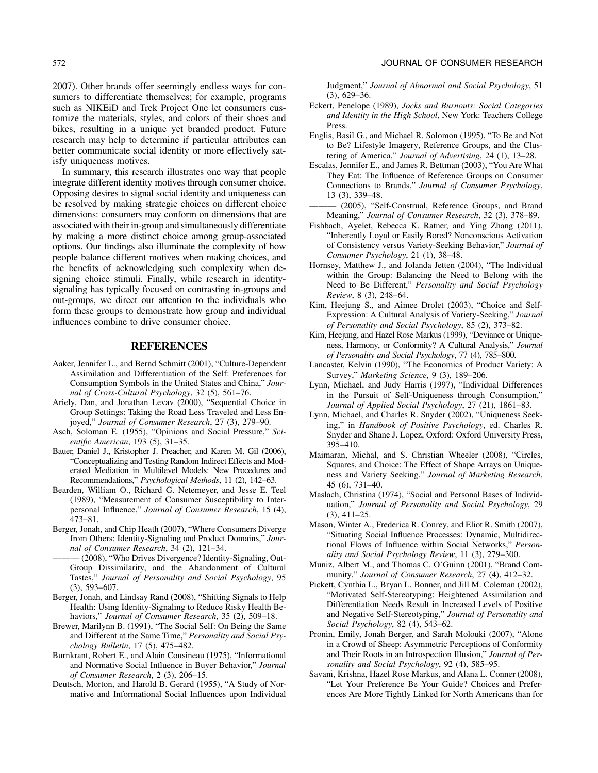2007). Other brands offer seemingly endless ways for consumers to differentiate themselves; for example, programs such as NIKEiD and Trek Project One let consumers customize the materials, styles, and colors of their shoes and bikes, resulting in a unique yet branded product. Future research may help to determine if particular attributes can better communicate social identity or more effectively satisfy uniqueness motives.

In summary, this research illustrates one way that people integrate different identity motives through consumer choice. Opposing desires to signal social identity and uniqueness can be resolved by making strategic choices on different choice dimensions: consumers may conform on dimensions that are associated with their in-group and simultaneously differentiate by making a more distinct choice among group-associated options. Our findings also illuminate the complexity of how people balance different motives when making choices, and the benefits of acknowledging such complexity when designing choice stimuli. Finally, while research in identitysignaling has typically focused on contrasting in-groups and out-groups, we direct our attention to the individuals who form these groups to demonstrate how group and individual influences combine to drive consumer choice.

## **REFERENCES**

- Aaker, Jennifer L., and Bernd Schmitt (2001), "Culture-Dependent Assimilation and Differentiation of the Self: Preferences for Consumption Symbols in the United States and China," *Journal of Cross-Cultural Psychology*, 32 (5), 561–76.
- Ariely, Dan, and Jonathan Levav (2000), "Sequential Choice in Group Settings: Taking the Road Less Traveled and Less Enjoyed," *Journal of Consumer Research*, 27 (3), 279–90.
- Asch, Soloman E. (1955), "Opinions and Social Pressure," *Scientific American*, 193 (5), 31–35.
- Bauer, Daniel J., Kristopher J. Preacher, and Karen M. Gil (2006), "Conceptualizing and Testing Random Indirect Effects and Moderated Mediation in Multilevel Models: New Procedures and Recommendations," *Psychological Methods*, 11 (2), 142–63.
- Bearden, William O., Richard G. Netemeyer, and Jesse E. Teel (1989), "Measurement of Consumer Susceptibility to Interpersonal Influence," *Journal of Consumer Research*, 15 (4), 473–81.
- Berger, Jonah, and Chip Heath (2007), "Where Consumers Diverge from Others: Identity-Signaling and Product Domains," *Journal of Consumer Research*, 34 (2), 121–34.
	- (2008), "Who Drives Divergence? Identity-Signaling, Out-Group Dissimilarity, and the Abandonment of Cultural Tastes," *Journal of Personality and Social Psychology*, 95 (3), 593–607.
- Berger, Jonah, and Lindsay Rand (2008), "Shifting Signals to Help Health: Using Identity-Signaling to Reduce Risky Health Behaviors," *Journal of Consumer Research*, 35 (2), 509–18.
- Brewer, Marilynn B. (1991), "The Social Self: On Being the Same and Different at the Same Time," *Personality and Social Psychology Bulletin*, 17 (5), 475–482.
- Burnkrant, Robert E., and Alain Cousineau (1975), "Informational and Normative Social Influence in Buyer Behavior," *Journal of Consumer Research*, 2 (3), 206–15.
- Deutsch, Morton, and Harold B. Gerard (1955), "A Study of Normative and Informational Social Influences upon Individual

Judgment," *Journal of Abnormal and Social Psychology*, 51 (3), 629–36.

- Eckert, Penelope (1989), *Jocks and Burnouts: Social Categories and Identity in the High School*, New York: Teachers College Press.
- Englis, Basil G., and Michael R. Solomon (1995), "To Be and Not to Be? Lifestyle Imagery, Reference Groups, and the Clustering of America," *Journal of Advertising*, 24 (1), 13–28.
- Escalas, Jennifer E., and James R. Bettman (2003), "You Are What They Eat: The Influence of Reference Groups on Consumer Connections to Brands," *Journal of Consumer Psychology*, 13 (3), 339–48.
- (2005), "Self-Construal, Reference Groups, and Brand Meaning," *Journal of Consumer Research*, 32 (3), 378–89.
- Fishbach, Ayelet, Rebecca K. Ratner, and Ying Zhang (2011), "Inherently Loyal or Easily Bored? Nonconscious Activation of Consistency versus Variety-Seeking Behavior," *Journal of Consumer Psychology*, 21 (1), 38–48.
- Hornsey, Matthew J., and Jolanda Jetten (2004), "The Individual within the Group: Balancing the Need to Belong with the Need to Be Different," *Personality and Social Psychology Review*, 8 (3), 248–64.
- Kim, Heejung S., and Aimee Drolet (2003), "Choice and Self-Expression: A Cultural Analysis of Variety-Seeking," *Journal of Personality and Social Psychology*, 85 (2), 373–82.
- Kim, Heejung, and Hazel Rose Markus (1999), "Deviance or Uniqueness, Harmony, or Conformity? A Cultural Analysis," *Journal of Personality and Social Psychology*, 77 (4), 785–800.
- Lancaster, Kelvin (1990), "The Economics of Product Variety: A Survey," *Marketing Science*, 9 (3), 189–206.
- Lynn, Michael, and Judy Harris (1997), "Individual Differences in the Pursuit of Self-Uniqueness through Consumption," *Journal of Applied Social Psychology*, 27 (21), 1861–83.
- Lynn, Michael, and Charles R. Snyder (2002), "Uniqueness Seeking," in *Handbook of Positive Psychology*, ed. Charles R. Snyder and Shane J. Lopez, Oxford: Oxford University Press, 395–410.
- Maimaran, Michal, and S. Christian Wheeler (2008), "Circles, Squares, and Choice: The Effect of Shape Arrays on Uniqueness and Variety Seeking," *Journal of Marketing Research*, 45 (6), 731–40.
- Maslach, Christina (1974), "Social and Personal Bases of Individuation," *Journal of Personality and Social Psychology*, 29 (3), 411–25.
- Mason, Winter A., Frederica R. Conrey, and Eliot R. Smith (2007), "Situating Social Influence Processes: Dynamic, Multidirectional Flows of Influence within Social Networks," *Personality and Social Psychology Review*, 11 (3), 279–300.
- Muniz, Albert M., and Thomas C. O'Guinn (2001), "Brand Community," *Journal of Consumer Research*, 27 (4), 412–32.
- Pickett, Cynthia L., Bryan L. Bonner, and Jill M. Coleman (2002), "Motivated Self-Stereotyping: Heightened Assimilation and Differentiation Needs Result in Increased Levels of Positive and Negative Self-Stereotyping," *Journal of Personality and Social Psychology*, 82 (4), 543–62.
- Pronin, Emily, Jonah Berger, and Sarah Molouki (2007), "Alone in a Crowd of Sheep: Asymmetric Perceptions of Conformity and Their Roots in an Introspection Illusion," *Journal of Personality and Social Psychology*, 92 (4), 585–95.
- Savani, Krishna, Hazel Rose Markus, and Alana L. Conner (2008), "Let Your Preference Be Your Guide? Choices and Preferences Are More Tightly Linked for North Americans than for